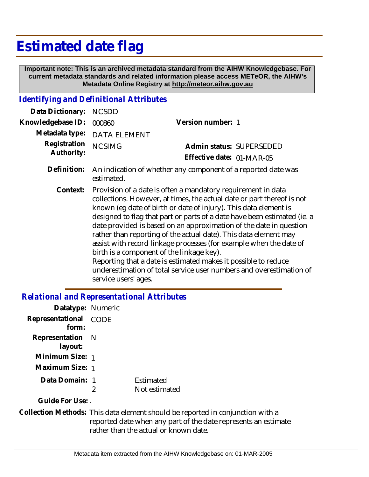## **Estimated date flag**

 **Important note: This is an archived metadata standard from the AIHW Knowledgebase. For current metadata standards and related information please access METeOR, the AIHW's Metadata Online Registry at http://meteor.aihw.gov.au**

## *Identifying and Definitional Attributes*

| Data Dictionary:           | <b>NCSDD</b>                                                                                                                                                                                                                                                                                                                                                                                                                                                                                                                                                                                                                                                                                                         |                           |  |
|----------------------------|----------------------------------------------------------------------------------------------------------------------------------------------------------------------------------------------------------------------------------------------------------------------------------------------------------------------------------------------------------------------------------------------------------------------------------------------------------------------------------------------------------------------------------------------------------------------------------------------------------------------------------------------------------------------------------------------------------------------|---------------------------|--|
| Knowledgebase ID:          | 000860                                                                                                                                                                                                                                                                                                                                                                                                                                                                                                                                                                                                                                                                                                               | Version number: 1         |  |
| Metadata type:             | <b>DATA ELEMENT</b>                                                                                                                                                                                                                                                                                                                                                                                                                                                                                                                                                                                                                                                                                                  |                           |  |
| Registration<br>Authority: | <b>NCSIMG</b>                                                                                                                                                                                                                                                                                                                                                                                                                                                                                                                                                                                                                                                                                                        | Admin status: SUPERSEDED  |  |
|                            |                                                                                                                                                                                                                                                                                                                                                                                                                                                                                                                                                                                                                                                                                                                      | Effective date: 01-MAR-05 |  |
| Definition:                | An indication of whether any component of a reported date was<br>estimated.                                                                                                                                                                                                                                                                                                                                                                                                                                                                                                                                                                                                                                          |                           |  |
| Context:                   | Provision of a date is often a mandatory requirement in data<br>collections. However, at times, the actual date or part thereof is not<br>known (eg date of birth or date of injury). This data element is<br>designed to flag that part or parts of a date have been estimated (ie. a<br>date provided is based on an approximation of the date in question<br>rather than reporting of the actual date). This data element may<br>assist with record linkage processes (for example when the date of<br>birth is a component of the linkage key).<br>Reporting that a date is estimated makes it possible to reduce<br>underestimation of total service user numbers and overestimation of<br>service users' ages. |                           |  |

## *Relational and Representational Attributes*

| Datatype: Numeric |      |               |
|-------------------|------|---------------|
| Representational  | CODE |               |
| form:             |      |               |
| Representation N  |      |               |
| layout:           |      |               |
| Minimum Size: 1   |      |               |
| Maximum Size: 1   |      |               |
| Data Domain: 1    |      | Estimated     |
|                   | 2    | Not estimated |
| Guide For Use: .  |      |               |

Collection Methods: This data element should be reported in conjunction with a reported date when any part of the date represents an estimate rather than the actual or known date.